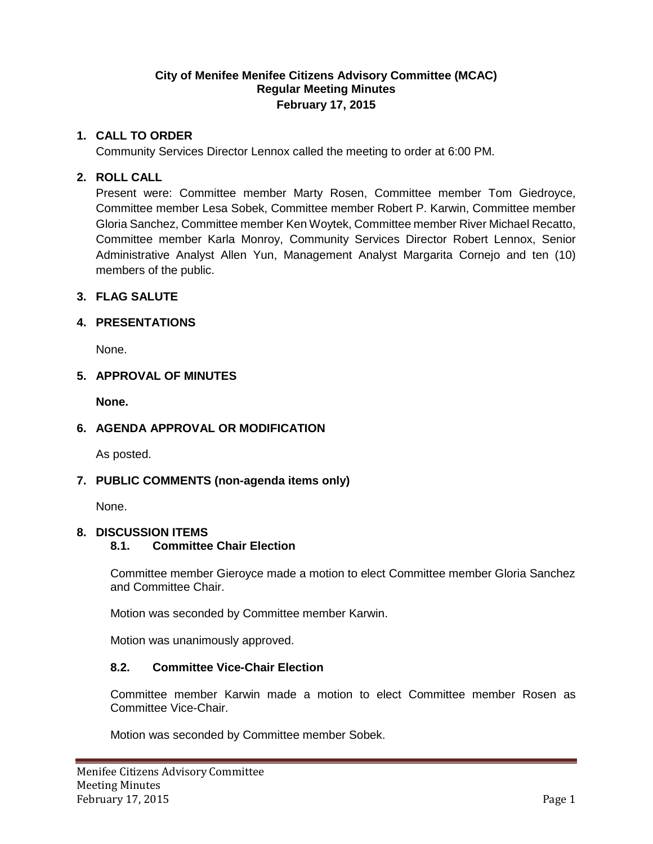### **City of Menifee Menifee Citizens Advisory Committee (MCAC) Regular Meeting Minutes February 17, 2015**

### **1. CALL TO ORDER**

Community Services Director Lennox called the meeting to order at 6:00 PM.

## **2. ROLL CALL**

Present were: Committee member Marty Rosen, Committee member Tom Giedroyce, Committee member Lesa Sobek, Committee member Robert P. Karwin, Committee member Gloria Sanchez, Committee member Ken Woytek, Committee member River Michael Recatto, Committee member Karla Monroy, Community Services Director Robert Lennox, Senior Administrative Analyst Allen Yun, Management Analyst Margarita Cornejo and ten (10) members of the public.

## **3. FLAG SALUTE**

## **4. PRESENTATIONS**

None.

## **5. APPROVAL OF MINUTES**

**None.**

# **6. AGENDA APPROVAL OR MODIFICATION**

As posted.

# **7. PUBLIC COMMENTS (non-agenda items only)**

None.

#### **8. DISCUSSION ITEMS**

#### **8.1. Committee Chair Election**

Committee member Gieroyce made a motion to elect Committee member Gloria Sanchez and Committee Chair.

Motion was seconded by Committee member Karwin.

Motion was unanimously approved.

#### **8.2. Committee Vice-Chair Election**

Committee member Karwin made a motion to elect Committee member Rosen as Committee Vice-Chair.

Motion was seconded by Committee member Sobek.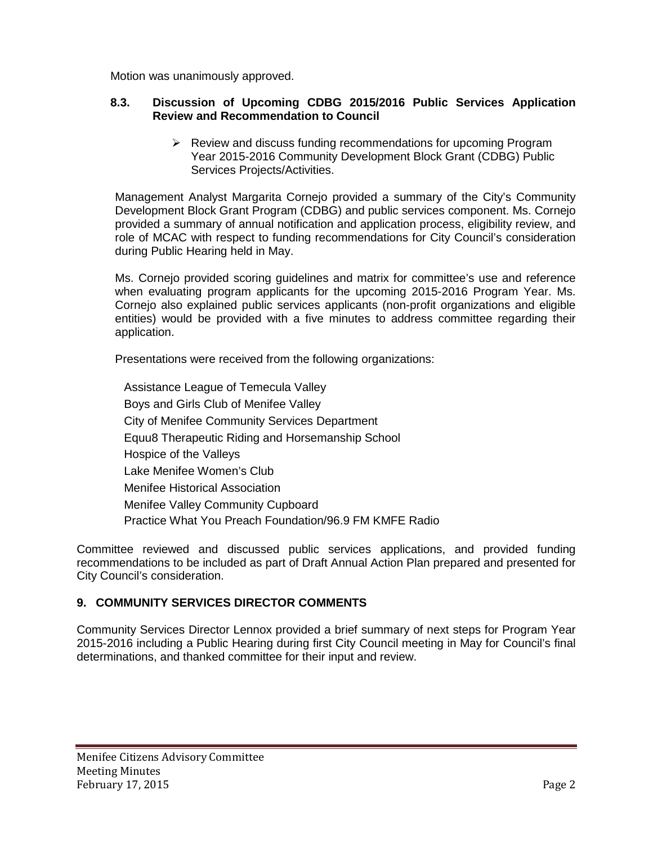Motion was unanimously approved.

#### **8.3. Discussion of Upcoming CDBG 2015/2016 Public Services Application Review and Recommendation to Council**

 $\triangleright$  Review and discuss funding recommendations for upcoming Program Year 2015-2016 Community Development Block Grant (CDBG) Public Services Projects/Activities.

Management Analyst Margarita Cornejo provided a summary of the City's Community Development Block Grant Program (CDBG) and public services component. Ms. Cornejo provided a summary of annual notification and application process, eligibility review, and role of MCAC with respect to funding recommendations for City Council's consideration during Public Hearing held in May.

Ms. Cornejo provided scoring guidelines and matrix for committee's use and reference when evaluating program applicants for the upcoming 2015-2016 Program Year. Ms. Cornejo also explained public services applicants (non-profit organizations and eligible entities) would be provided with a five minutes to address committee regarding their application.

Presentations were received from the following organizations:

Assistance League of Temecula Valley Boys and Girls Club of Menifee Valley City of Menifee Community Services Department Equu8 Therapeutic Riding and Horsemanship School Hospice of the Valleys Lake Menifee Women's Club Menifee Historical Association Menifee Valley Community Cupboard Practice What You Preach Foundation/96.9 FM KMFE Radio

Committee reviewed and discussed public services applications, and provided funding recommendations to be included as part of Draft Annual Action Plan prepared and presented for City Council's consideration.

# **9. COMMUNITY SERVICES DIRECTOR COMMENTS**

Community Services Director Lennox provided a brief summary of next steps for Program Year 2015-2016 including a Public Hearing during first City Council meeting in May for Council's final determinations, and thanked committee for their input and review.